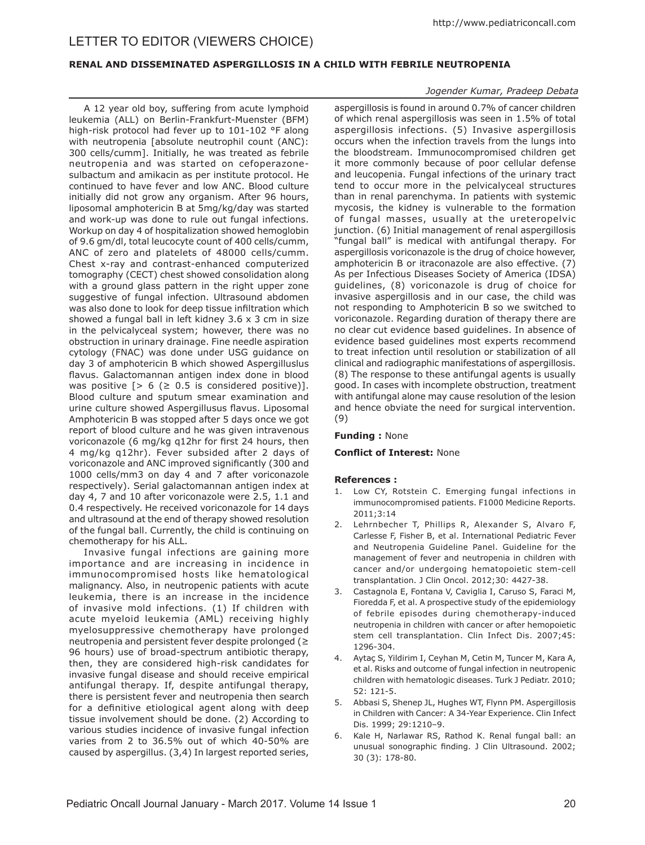# LETTER TO EDITOR (VIEWERS CHOICE)

## **RENAL AND DISSEMINATED ASPERGILLOSIS IN A CHILD WITH FEBRILE NEUTROPENIA**

A 12 year old boy, suffering from acute lymphoid leukemia (ALL) on Berlin-Frankfurt-Muenster (BFM) high-risk protocol had fever up to 101-102 °F along with neutropenia [absolute neutrophil count (ANC): 300 cells/cumm]. Initially, he was treated as febrile neutropenia and was started on cefoperazonesulbactum and amikacin as per institute protocol. He continued to have fever and low ANC. Blood culture initially did not grow any organism. After 96 hours, liposomal amphotericin B at 5mg/kg/day was started and work-up was done to rule out fungal infections. Workup on day 4 of hospitalization showed hemoglobin of 9.6 gm/dl, total leucocyte count of 400 cells/cumm, ANC of zero and platelets of 48000 cells/cumm. Chest x-ray and contrast-enhanced computerized tomography (CECT) chest showed consolidation along with a ground glass pattern in the right upper zone suggestive of fungal infection. Ultrasound abdomen was also done to look for deep tissue infiltration which showed a fungal ball in left kidney  $3.6 \times 3$  cm in size in the pelvicalyceal system; however, there was no obstruction in urinary drainage. Fine needle aspiration cytology (FNAC) was done under USG guidance on day 3 of amphotericin B which showed Aspergilluslus flavus. Galactomannan antigen index done in blood was positive  $\lceil > 6 \rceil \geq 0.5$  is considered positive)]. Blood culture and sputum smear examination and urine culture showed Aspergillusus flavus. Liposomal Amphotericin B was stopped after 5 days once we got report of blood culture and he was given intravenous voriconazole (6 mg/kg q12hr for first 24 hours, then 4 mg/kg q12hr). Fever subsided after 2 days of voriconazole and ANC improved significantly (300 and 1000 cells/mm3 on day 4 and 7 after voriconazole respectively). Serial galactomannan antigen index at day 4, 7 and 10 after voriconazole were 2.5, 1.1 and 0.4 respectively. He received voriconazole for 14 days and ultrasound at the end of therapy showed resolution of the fungal ball. Currently, the child is continuing on chemotherapy for his ALL.

Invasive fungal infections are gaining more importance and are increasing in incidence in immunocompromised hosts like hematological malignancy. Also, in neutropenic patients with acute leukemia, there is an increase in the incidence of invasive mold infections. (1) If children with acute myeloid leukemia (AML) receiving highly myelosuppressive chemotherapy have prolonged neutropenia and persistent fever despite prolonged (≥ 96 hours) use of broad-spectrum antibiotic therapy, then, they are considered high-risk candidates for invasive fungal disease and should receive empirical antifungal therapy. If, despite antifungal therapy, there is persistent fever and neutropenia then search for a definitive etiological agent along with deep tissue involvement should be done. (2) According to various studies incidence of invasive fungal infection varies from 2 to 36.5% out of which 40-50% are caused by aspergillus. (3,4) In largest reported series,

#### *Jogender Kumar, Pradeep Debata*

aspergillosis is found in around 0.7% of cancer children of which renal aspergillosis was seen in 1.5% of total aspergillosis infections. (5) Invasive aspergillosis occurs when the infection travels from the lungs into the bloodstream. Immunocompromised children get it more commonly because of poor cellular defense and leucopenia. Fungal infections of the urinary tract tend to occur more in the pelvicalyceal structures than in renal parenchyma. In patients with systemic mycosis, the kidney is vulnerable to the formation of fungal masses, usually at the ureteropelvic junction. (6) Initial management of renal aspergillosis "fungal ball" is medical with antifungal therapy. For aspergillosis voriconazole is the drug of choice however, amphotericin B or itraconazole are also effective. (7) As per Infectious Diseases Society of America (IDSA) guidelines, (8) voriconazole is drug of choice for invasive aspergillosis and in our case, the child was not responding to Amphotericin B so we switched to voriconazole. Regarding duration of therapy there are no clear cut evidence based guidelines. In absence of evidence based guidelines most experts recommend to treat infection until resolution or stabilization of all clinical and radiographic manifestations of aspergillosis. (8) The response to these antifungal agents is usually good. In cases with incomplete obstruction, treatment with antifungal alone may cause resolution of the lesion and hence obviate the need for surgical intervention. (9)

#### **Funding :** None

## **Conflict of Interest:** None

## **References :**

- 1. Low CY, Rotstein C. Emerging fungal infections in immunocompromised patients. F1000 Medicine Reports. 2011;3:14
- 2. Lehrnbecher T, Phillips R, Alexander S, Alvaro F, Carlesse F, Fisher B, et al. International Pediatric Fever and Neutropenia Guideline Panel. Guideline for the management of fever and neutropenia in children with cancer and/or undergoing hematopoietic stem-cell transplantation. J Clin Oncol. 2012;30: 4427-38.
- 3. Castagnola E, Fontana V, Caviglia I, Caruso S, Faraci M, Fioredda F, et al. A prospective study of the epidemiology of febrile episodes during chemotherapy-induced neutropenia in children with cancer or after hemopoietic stem cell transplantation. Clin Infect Dis. 2007;45: 1296-304.
- 4. Aytaç S, Yildirim I, Ceyhan M, Cetin M, Tuncer M, Kara A, et al. Risks and outcome of fungal infection in neutropenic children with hematologic diseases. Turk J Pediatr. 2010; 52: 121-5.
- 5. Abbasi S, Shenep JL, Hughes WT, Flynn PM. Aspergillosis in Children with Cancer: A 34-Year Experience. Clin Infect Dis. 1999; 29:1210–9.
- 6. Kale H, Narlawar RS, Rathod K. Renal fungal ball: an unusual sonographic finding. J Clin Ultrasound. 2002; 30 (3): 178-80.